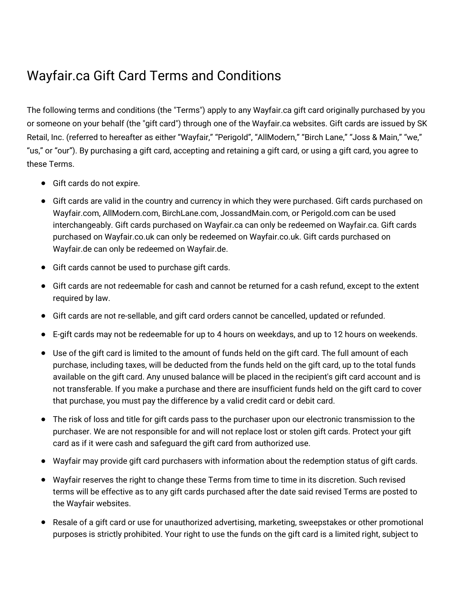## Wayfair.ca Gift Card Terms and Conditions

The following terms and conditions (the "Terms") apply to any Wayfair.ca gift card originally purchased by you or someone on your behalf (the "gift card") through one of the Wayfair.ca websites. Gift cards are issued by SK Retail, Inc. (referred to hereafter as either "Wayfair," "Perigold", "AllModern," "Birch Lane," "Joss & Main," "we," "us," or "our"). By purchasing a gift card, accepting and retaining a gift card, or using a gift card, you agree to these Terms.

- Gift cards do not expire.
- Gift cards are valid in the country and currency in which they were purchased. Gift cards purchased on Wayfair.com, AllModern.com, BirchLane.com, JossandMain.com, or Perigold.com can be used interchangeably. Gift cards purchased on Wayfair.ca can only be redeemed on Wayfair.ca. Gift cards purchased on Wayfair.co.uk can only be redeemed on Wayfair.co.uk. Gift cards purchased on Wayfair.de can only be redeemed on Wayfair.de.
- Gift cards cannot be used to purchase gift cards.
- Gift cards are not redeemable for cash and cannot be returned for a cash refund, except to the extent required by law.
- Gift cards are not re-sellable, and gift card orders cannot be cancelled, updated or refunded.
- E-gift cards may not be redeemable for up to 4 hours on weekdays, and up to 12 hours on weekends.
- Use of the gift card is limited to the amount of funds held on the gift card. The full amount of each purchase, including taxes, will be deducted from the funds held on the gift card, up to the total funds available on the gift card. Any unused balance will be placed in the recipient's gift card account and is not transferable. If you make a purchase and there are insufficient funds held on the gift card to cover that purchase, you must pay the difference by a valid credit card or debit card.
- The risk of loss and title for gift cards pass to the purchaser upon our electronic transmission to the purchaser. We are not responsible for and will not replace lost or stolen gift cards. Protect your gift card as if it were cash and safeguard the gift card from authorized use.
- Wayfair may provide gift card purchasers with information about the redemption status of gift cards.
- Wayfair reserves the right to change these Terms from time to time in its discretion. Such revised terms will be effective as to any gift cards purchased after the date said revised Terms are posted to the Wayfair websites.
- Resale of a gift card or use for unauthorized advertising, marketing, sweepstakes or other promotional purposes is strictly prohibited. Your right to use the funds on the gift card is a limited right, subject to